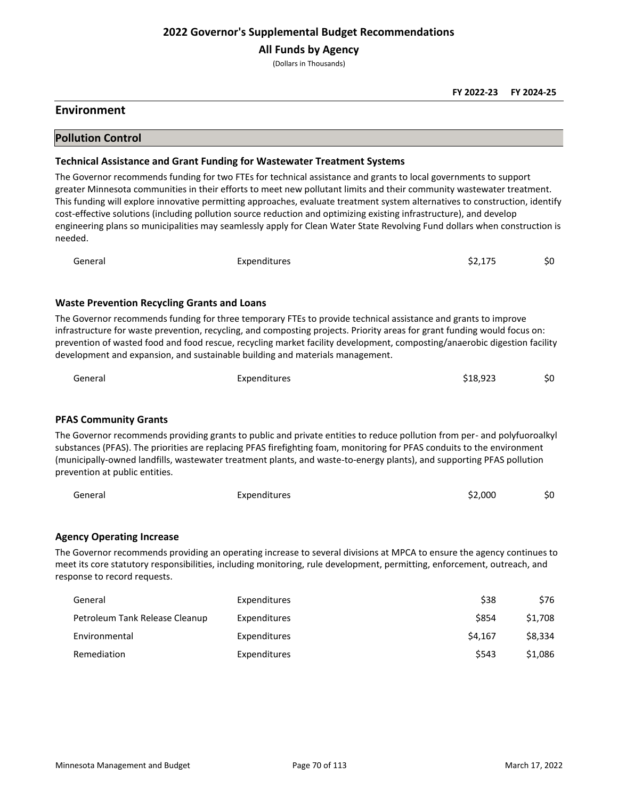**All Funds by Agency**

(Dollars in Thousands)

### **Environment**

### **Pollution Control**

#### **Technical Assistance and Grant Funding for Wastewater Treatment Systems**

The Governor recommends funding for two FTEs for technical assistance and grants to local governments to support greater Minnesota communities in their efforts to meet new pollutant limits and their community wastewater treatment. This funding will explore innovative permitting approaches, evaluate treatment system alternatives to construction, identify cost-effective solutions (including pollution source reduction and optimizing existing infrastructure), and develop engineering plans so municipalities may seamlessly apply for Clean Water State Revolving Fund dollars when construction is needed.

| General | Expenditures | \$2,175 | \$0 |
|---------|--------------|---------|-----|
|         |              |         |     |

#### **Waste Prevention Recycling Grants and Loans**

The Governor recommends funding for three temporary FTEs to provide technical assistance and grants to improve infrastructure for waste prevention, recycling, and composting projects. Priority areas for grant funding would focus on: prevention of wasted food and food rescue, recycling market facility development, composting/anaerobic digestion facility development and expansion, and sustainable building and materials management.

| General | Expenditures | \$18,923 | \$0 |
|---------|--------------|----------|-----|
|         |              |          |     |

#### **PFAS Community Grants**

The Governor recommends providing grants to public and private entities to reduce pollution from per- and polyfuoroalkyl substances (PFAS). The priorities are replacing PFAS firefighting foam, monitoring for PFAS conduits to the environment (municipally-owned landfills, wastewater treatment plants, and waste-to-energy plants), and supporting PFAS pollution prevention at public entities.

| General | Expenditures | \$2,000 | \$0 |
|---------|--------------|---------|-----|
|         |              |         |     |

### **Agency Operating Increase**

The Governor recommends providing an operating increase to several divisions at MPCA to ensure the agency continues to meet its core statutory responsibilities, including monitoring, rule development, permitting, enforcement, outreach, and response to record requests.

| General                        | Expenditures | \$38    | \$76    |
|--------------------------------|--------------|---------|---------|
| Petroleum Tank Release Cleanup | Expenditures | \$854   | \$1.708 |
| Environmental                  | Expenditures | \$4.167 | \$8.334 |
| Remediation                    | Expenditures | \$543   | \$1.086 |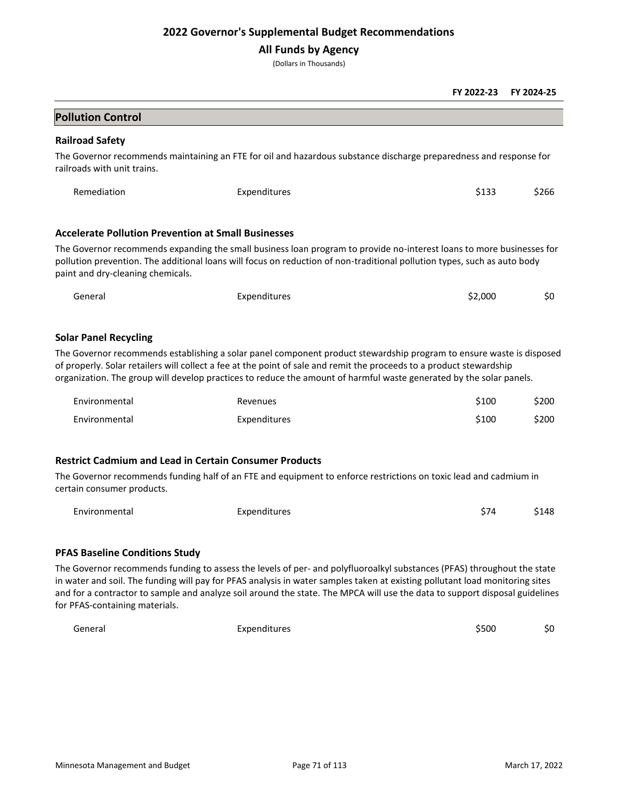## **All Funds by Agency**

(Dollars in Thousands)

|                                                            |                                                                                                                                                                                                                                                                                                                                                                     | FY 2022-23 | FY 2024-25 |
|------------------------------------------------------------|---------------------------------------------------------------------------------------------------------------------------------------------------------------------------------------------------------------------------------------------------------------------------------------------------------------------------------------------------------------------|------------|------------|
| <b>Pollution Control</b>                                   |                                                                                                                                                                                                                                                                                                                                                                     |            |            |
| <b>Railroad Safety</b>                                     |                                                                                                                                                                                                                                                                                                                                                                     |            |            |
| railroads with unit trains.                                | The Governor recommends maintaining an FTE for oil and hazardous substance discharge preparedness and response for                                                                                                                                                                                                                                                  |            |            |
| Remediation                                                | Expenditures                                                                                                                                                                                                                                                                                                                                                        | \$133      | \$266      |
| <b>Accelerate Pollution Prevention at Small Businesses</b> |                                                                                                                                                                                                                                                                                                                                                                     |            |            |
| paint and dry-cleaning chemicals.                          | The Governor recommends expanding the small business loan program to provide no-interest loans to more businesses for<br>pollution prevention. The additional loans will focus on reduction of non-traditional pollution types, such as auto body                                                                                                                   |            |            |
| General                                                    | Expenditures                                                                                                                                                                                                                                                                                                                                                        | \$2,000    | \$0        |
| <b>Solar Panel Recycling</b>                               | The Governor recommends establishing a solar panel component product stewardship program to ensure waste is disposed<br>of properly. Solar retailers will collect a fee at the point of sale and remit the proceeds to a product stewardship<br>organization. The group will develop practices to reduce the amount of harmful waste generated by the solar panels. |            |            |
| Environmental                                              | Revenues                                                                                                                                                                                                                                                                                                                                                            | \$100      | \$200      |
| Environmental                                              | Expenditures                                                                                                                                                                                                                                                                                                                                                        | \$100      | \$200      |
| certain consumer products.                                 | <b>Restrict Cadmium and Lead in Certain Consumer Products</b><br>The Governor recommends funding half of an FTE and equipment to enforce restrictions on toxic lead and cadmium in                                                                                                                                                                                  |            |            |
| Environmental                                              | Expenditures                                                                                                                                                                                                                                                                                                                                                        | \$74       | \$148      |
| <b>PFAS Baseline Conditions Study</b>                      |                                                                                                                                                                                                                                                                                                                                                                     |            |            |

The Governor recommends funding to assess the levels of per- and polyfluoroalkyl substances (PFAS) throughout the state in water and soil. The funding will pay for PFAS analysis in water samples taken at existing pollutant load monitoring sites and for a contractor to sample and analyze soil around the state. The MPCA will use the data to support disposal guidelines for PFAS-containing materials.

| General | Expenditures | \$500 | \$0 |
|---------|--------------|-------|-----|
|         |              |       |     |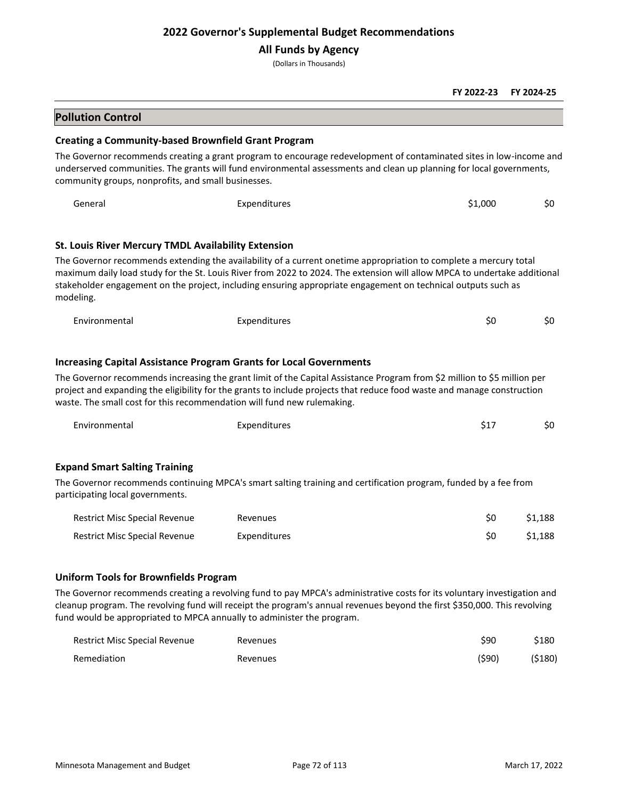## **All Funds by Agency**

(Dollars in Thousands)

|                                                                                                                                                      |                                                                                                                                                                                                                                                                                                                                                                 | FY 2022-23 | FY 2024-25 |
|------------------------------------------------------------------------------------------------------------------------------------------------------|-----------------------------------------------------------------------------------------------------------------------------------------------------------------------------------------------------------------------------------------------------------------------------------------------------------------------------------------------------------------|------------|------------|
| <b>Pollution Control</b>                                                                                                                             |                                                                                                                                                                                                                                                                                                                                                                 |            |            |
| <b>Creating a Community-based Brownfield Grant Program</b>                                                                                           |                                                                                                                                                                                                                                                                                                                                                                 |            |            |
| community groups, nonprofits, and small businesses.                                                                                                  | The Governor recommends creating a grant program to encourage redevelopment of contaminated sites in low-income and<br>underserved communities. The grants will fund environmental assessments and clean up planning for local governments,                                                                                                                     |            |            |
| General                                                                                                                                              | Expenditures                                                                                                                                                                                                                                                                                                                                                    | \$1,000    | \$0        |
| <b>St. Louis River Mercury TMDL Availability Extension</b>                                                                                           |                                                                                                                                                                                                                                                                                                                                                                 |            |            |
| modeling.                                                                                                                                            | The Governor recommends extending the availability of a current onetime appropriation to complete a mercury total<br>maximum daily load study for the St. Louis River from 2022 to 2024. The extension will allow MPCA to undertake additional<br>stakeholder engagement on the project, including ensuring appropriate engagement on technical outputs such as |            |            |
| Environmental                                                                                                                                        | Expenditures                                                                                                                                                                                                                                                                                                                                                    | \$0        | \$0        |
| <b>Increasing Capital Assistance Program Grants for Local Governments</b><br>waste. The small cost for this recommendation will fund new rulemaking. | The Governor recommends increasing the grant limit of the Capital Assistance Program from \$2 million to \$5 million per<br>project and expanding the eligibility for the grants to include projects that reduce food waste and manage construction                                                                                                             |            |            |
| Environmental                                                                                                                                        | Expenditures                                                                                                                                                                                                                                                                                                                                                    | \$17       | \$0        |
| <b>Expand Smart Salting Training</b>                                                                                                                 | The Governor recommends continuing MPCA's smart salting training and certification program, funded by a fee from                                                                                                                                                                                                                                                |            |            |
| participating local governments.                                                                                                                     |                                                                                                                                                                                                                                                                                                                                                                 |            |            |
| <b>Restrict Misc Special Revenue</b>                                                                                                                 | Revenues                                                                                                                                                                                                                                                                                                                                                        | \$0        | \$1,188    |
| <b>Restrict Misc Special Revenue</b>                                                                                                                 | Expenditures                                                                                                                                                                                                                                                                                                                                                    | \$0        | \$1,188    |
| <b>Uniform Tools for Brownfields Program</b>                                                                                                         |                                                                                                                                                                                                                                                                                                                                                                 |            |            |
|                                                                                                                                                      | The Governor recommends creating a revolving fund to pay MPCA's administrative costs for its voluntary investigation and<br>cleanup program. The revolving fund will receipt the program's annual revenues beyond the first \$350,000. This revolving                                                                                                           |            |            |

| <b>Restrict Misc Special Revenue</b> | Revenues | \$90   | \$180  |
|--------------------------------------|----------|--------|--------|
| Remediation                          | Revenues | (\$90) | (5180) |

fund would be appropriated to MPCA annually to administer the program.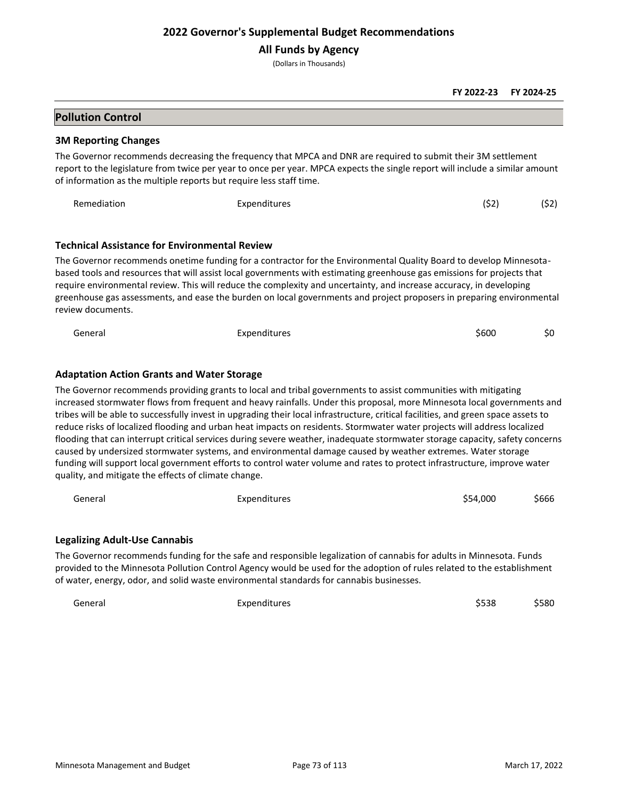**All Funds by Agency**

(Dollars in Thousands)

**FY 2022-23 FY 2024-25**

## **Pollution Control**

#### **3M Reporting Changes**

The Governor recommends decreasing the frequency that MPCA and DNR are required to submit their 3M settlement report to the legislature from twice per year to once per year. MPCA expects the single report will include a similar amount of information as the multiple reports but require less staff time.

| Remediation | Expenditures | (\$2) | (52) |
|-------------|--------------|-------|------|
|             |              |       |      |

#### **Technical Assistance for Environmental Review**

The Governor recommends onetime funding for a contractor for the Environmental Quality Board to develop Minnesotabased tools and resources that will assist local governments with estimating greenhouse gas emissions for projects that require environmental review. This will reduce the complexity and uncertainty, and increase accuracy, in developing greenhouse gas assessments, and ease the burden on local governments and project proposers in preparing environmental review documents.

| General | Expenditures | \$600 | \$0 |
|---------|--------------|-------|-----|
|---------|--------------|-------|-----|

### **Adaptation Action Grants and Water Storage**

The Governor recommends providing grants to local and tribal governments to assist communities with mitigating increased stormwater flows from frequent and heavy rainfalls. Under this proposal, more Minnesota local governments and tribes will be able to successfully invest in upgrading their local infrastructure, critical facilities, and green space assets to reduce risks of localized flooding and urban heat impacts on residents. Stormwater water projects will address localized flooding that can interrupt critical services during severe weather, inadequate stormwater storage capacity, safety concerns caused by undersized stormwater systems, and environmental damage caused by weather extremes. Water storage funding will support local government efforts to control water volume and rates to protect infrastructure, improve water quality, and mitigate the effects of climate change.

| General | Expenditures | \$54,000 | \$666 |
|---------|--------------|----------|-------|
|         |              |          |       |

### **Legalizing Adult-Use Cannabis**

The Governor recommends funding for the safe and responsible legalization of cannabis for adults in Minnesota. Funds provided to the Minnesota Pollution Control Agency would be used for the adoption of rules related to the establishment of water, energy, odor, and solid waste environmental standards for cannabis businesses.

General Expenditures \$538 \$580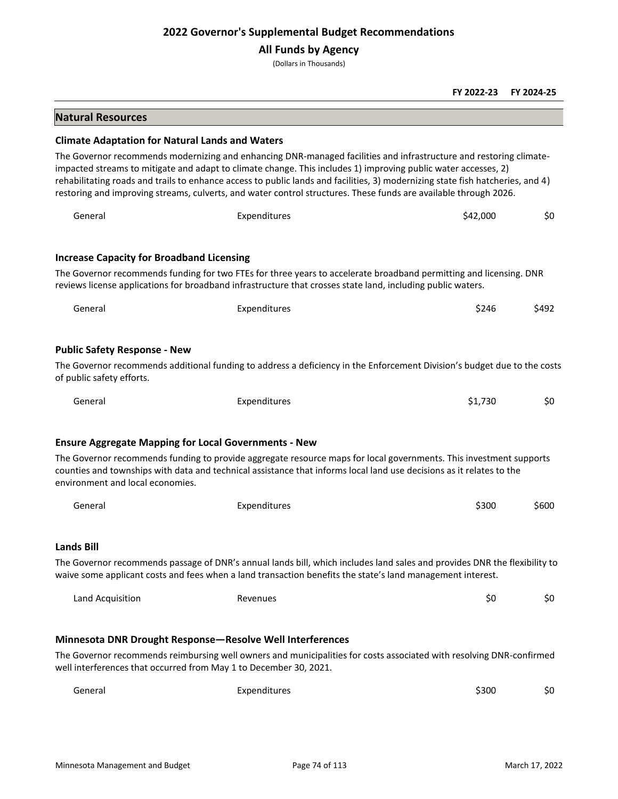## **All Funds by Agency**

(Dollars in Thousands)

|                                                             |                                                                                                                                                                                                                                                                                                                                                                                                                                                                                            | FY 2022-23 | FY 2024-25 |
|-------------------------------------------------------------|--------------------------------------------------------------------------------------------------------------------------------------------------------------------------------------------------------------------------------------------------------------------------------------------------------------------------------------------------------------------------------------------------------------------------------------------------------------------------------------------|------------|------------|
| <b>Natural Resources</b>                                    |                                                                                                                                                                                                                                                                                                                                                                                                                                                                                            |            |            |
| <b>Climate Adaptation for Natural Lands and Waters</b>      |                                                                                                                                                                                                                                                                                                                                                                                                                                                                                            |            |            |
|                                                             | The Governor recommends modernizing and enhancing DNR-managed facilities and infrastructure and restoring climate-<br>impacted streams to mitigate and adapt to climate change. This includes 1) improving public water accesses, 2)<br>rehabilitating roads and trails to enhance access to public lands and facilities, 3) modernizing state fish hatcheries, and 4)<br>restoring and improving streams, culverts, and water control structures. These funds are available through 2026. |            |            |
| General                                                     | Expenditures                                                                                                                                                                                                                                                                                                                                                                                                                                                                               | \$42,000   | \$0        |
| <b>Increase Capacity for Broadband Licensing</b>            |                                                                                                                                                                                                                                                                                                                                                                                                                                                                                            |            |            |
|                                                             | The Governor recommends funding for two FTEs for three years to accelerate broadband permitting and licensing. DNR<br>reviews license applications for broadband infrastructure that crosses state land, including public waters.                                                                                                                                                                                                                                                          |            |            |
| General                                                     | Expenditures                                                                                                                                                                                                                                                                                                                                                                                                                                                                               | \$246      | \$492      |
| <b>Public Safety Response - New</b>                         |                                                                                                                                                                                                                                                                                                                                                                                                                                                                                            |            |            |
| of public safety efforts.                                   | The Governor recommends additional funding to address a deficiency in the Enforcement Division's budget due to the costs                                                                                                                                                                                                                                                                                                                                                                   |            |            |
| General                                                     | Expenditures                                                                                                                                                                                                                                                                                                                                                                                                                                                                               | \$1,730    | \$0        |
| <b>Ensure Aggregate Mapping for Local Governments - New</b> |                                                                                                                                                                                                                                                                                                                                                                                                                                                                                            |            |            |
| environment and local economies.                            | The Governor recommends funding to provide aggregate resource maps for local governments. This investment supports<br>counties and townships with data and technical assistance that informs local land use decisions as it relates to the                                                                                                                                                                                                                                                 |            |            |
| General                                                     | Expenditures                                                                                                                                                                                                                                                                                                                                                                                                                                                                               | \$300      | \$600      |
| <b>Lands Bill</b>                                           |                                                                                                                                                                                                                                                                                                                                                                                                                                                                                            |            |            |
|                                                             | The Governor recommends passage of DNR's annual lands bill, which includes land sales and provides DNR the flexibility to<br>waive some applicant costs and fees when a land transaction benefits the state's land management interest.                                                                                                                                                                                                                                                    |            |            |
| Land Acquisition                                            | Revenues                                                                                                                                                                                                                                                                                                                                                                                                                                                                                   | \$0        | \$0        |
|                                                             | Minnesota DNR Drought Response-Resolve Well Interferences<br>The Governor recommends reimbursing well owners and municipalities for costs associated with resolving DNR-confirmed                                                                                                                                                                                                                                                                                                          |            |            |
|                                                             | well interferences that occurred from May 1 to December 30, 2021.                                                                                                                                                                                                                                                                                                                                                                                                                          |            |            |
| General                                                     | Expenditures                                                                                                                                                                                                                                                                                                                                                                                                                                                                               | \$300      | \$0        |
|                                                             |                                                                                                                                                                                                                                                                                                                                                                                                                                                                                            |            |            |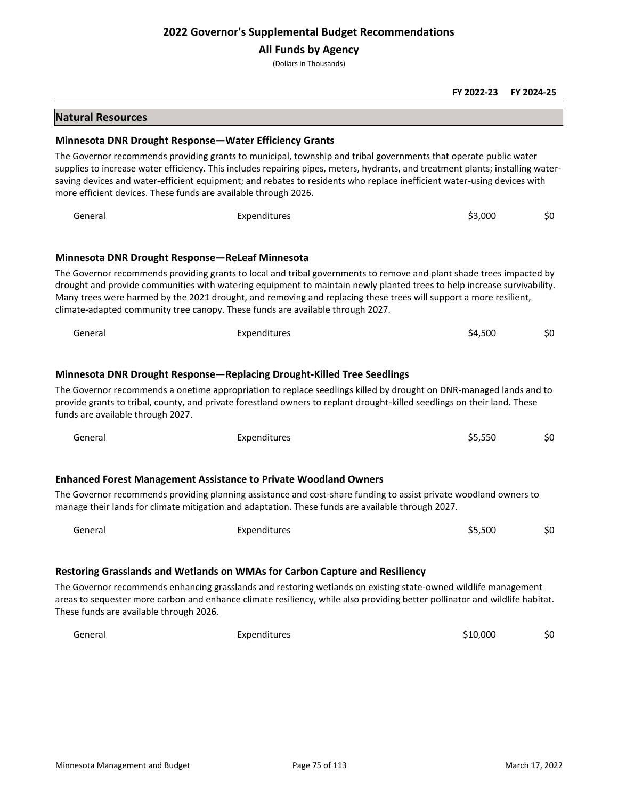### **All Funds by Agency**

(Dollars in Thousands)

#### **FY 2022-23 FY 2024-25**

#### **Natural Resources**

#### **Minnesota DNR Drought Response—Water Efficiency Grants**

The Governor recommends providing grants to municipal, township and tribal governments that operate public water supplies to increase water efficiency. This includes repairing pipes, meters, hydrants, and treatment plants; installing watersaving devices and water-efficient equipment; and rebates to residents who replace inefficient water-using devices with more efficient devices. These funds are available through 2026.

General Expenditures \$3,000 \$0 **Minnesota DNR Drought Response—ReLeaf Minnesota** The Governor recommends providing grants to local and tribal governments to remove and plant shade trees impacted by drought and provide communities with watering equipment to maintain newly planted trees to help increase survivability.

Many trees were harmed by the 2021 drought, and removing and replacing these trees will support a more resilient, climate-adapted community tree canopy. These funds are available through 2027.

| General | <b>Expenditures</b>                                                                                                                                                                                                                            | \$4.500 | \$0 |
|---------|------------------------------------------------------------------------------------------------------------------------------------------------------------------------------------------------------------------------------------------------|---------|-----|
|         |                                                                                                                                                                                                                                                |         |     |
|         | Minnesota DNR Drought Response—Replacing Drought-Killed Tree Seedlings                                                                                                                                                                         |         |     |
|         | The Governor recommends a onetime appropriation to replace seedlings killed by drought on DNR-managed lands and to<br>provide grapts to tribal, sounty, and private ferestland owners to replant drought killed seedlings on their land. These |         |     |

provide grants to tribal, county, and private forestland owners to replant drought-killed seedlings on their land. These funds are available through 2027.

| General | Expenditures                                                                                                                                                                                                           | \$5,550 | \$0 |
|---------|------------------------------------------------------------------------------------------------------------------------------------------------------------------------------------------------------------------------|---------|-----|
|         | <b>Enhanced Forest Management Assistance to Private Woodland Owners</b>                                                                                                                                                |         |     |
|         | The Governor recommends providing planning assistance and cost-share funding to assist private woodland owners to<br>manage their lands for climate mitigation and adaptation. These funds are available through 2027. |         |     |
| General | Expenditures                                                                                                                                                                                                           | \$5,500 | \$0 |

### **Restoring Grasslands and Wetlands on WMAs for Carbon Capture and Resiliency**

The Governor recommends enhancing grasslands and restoring wetlands on existing state-owned wildlife management areas to sequester more carbon and enhance climate resiliency, while also providing better pollinator and wildlife habitat. These funds are available through 2026.

| General | Expenditures | \$10,000 | \$C |
|---------|--------------|----------|-----|
| _ _ _   |              |          |     |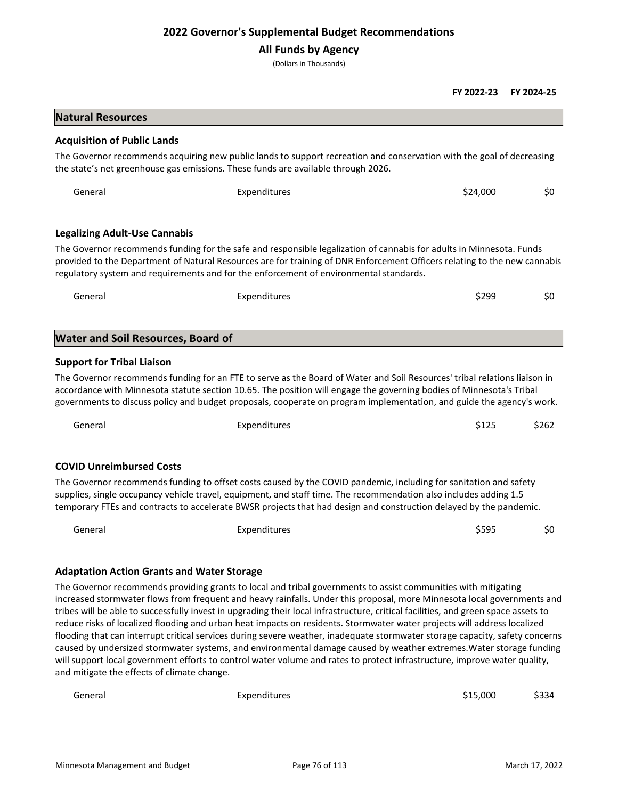## **All Funds by Agency**

(Dollars in Thousands)

|                                                   |                                                                                                                                                                                                                                                                                                                                                                                                                                                                                                                                                                                                                                                                                                                                                                                                                                                                                                 | FY 2022-23 | FY 2024-25 |
|---------------------------------------------------|-------------------------------------------------------------------------------------------------------------------------------------------------------------------------------------------------------------------------------------------------------------------------------------------------------------------------------------------------------------------------------------------------------------------------------------------------------------------------------------------------------------------------------------------------------------------------------------------------------------------------------------------------------------------------------------------------------------------------------------------------------------------------------------------------------------------------------------------------------------------------------------------------|------------|------------|
| <b>Natural Resources</b>                          |                                                                                                                                                                                                                                                                                                                                                                                                                                                                                                                                                                                                                                                                                                                                                                                                                                                                                                 |            |            |
| <b>Acquisition of Public Lands</b>                |                                                                                                                                                                                                                                                                                                                                                                                                                                                                                                                                                                                                                                                                                                                                                                                                                                                                                                 |            |            |
|                                                   | The Governor recommends acquiring new public lands to support recreation and conservation with the goal of decreasing<br>the state's net greenhouse gas emissions. These funds are available through 2026.                                                                                                                                                                                                                                                                                                                                                                                                                                                                                                                                                                                                                                                                                      |            |            |
| General                                           | Expenditures                                                                                                                                                                                                                                                                                                                                                                                                                                                                                                                                                                                                                                                                                                                                                                                                                                                                                    | \$24,000   | \$0        |
| <b>Legalizing Adult-Use Cannabis</b>              |                                                                                                                                                                                                                                                                                                                                                                                                                                                                                                                                                                                                                                                                                                                                                                                                                                                                                                 |            |            |
|                                                   | The Governor recommends funding for the safe and responsible legalization of cannabis for adults in Minnesota. Funds<br>provided to the Department of Natural Resources are for training of DNR Enforcement Officers relating to the new cannabis<br>regulatory system and requirements and for the enforcement of environmental standards.                                                                                                                                                                                                                                                                                                                                                                                                                                                                                                                                                     |            |            |
| General                                           | Expenditures                                                                                                                                                                                                                                                                                                                                                                                                                                                                                                                                                                                                                                                                                                                                                                                                                                                                                    | \$299      | \$0        |
| <b>Water and Soil Resources, Board of</b>         |                                                                                                                                                                                                                                                                                                                                                                                                                                                                                                                                                                                                                                                                                                                                                                                                                                                                                                 |            |            |
| <b>Support for Tribal Liaison</b>                 |                                                                                                                                                                                                                                                                                                                                                                                                                                                                                                                                                                                                                                                                                                                                                                                                                                                                                                 |            |            |
|                                                   | The Governor recommends funding for an FTE to serve as the Board of Water and Soil Resources' tribal relations liaison in<br>accordance with Minnesota statute section 10.65. The position will engage the governing bodies of Minnesota's Tribal<br>governments to discuss policy and budget proposals, cooperate on program implementation, and guide the agency's work.                                                                                                                                                                                                                                                                                                                                                                                                                                                                                                                      |            |            |
| General                                           | Expenditures                                                                                                                                                                                                                                                                                                                                                                                                                                                                                                                                                                                                                                                                                                                                                                                                                                                                                    | \$125      | \$262      |
| <b>COVID Unreimbursed Costs</b>                   |                                                                                                                                                                                                                                                                                                                                                                                                                                                                                                                                                                                                                                                                                                                                                                                                                                                                                                 |            |            |
|                                                   | The Governor recommends funding to offset costs caused by the COVID pandemic, including for sanitation and safety<br>supplies, single occupancy vehicle travel, equipment, and staff time. The recommendation also includes adding 1.5<br>temporary FTEs and contracts to accelerate BWSR projects that had design and construction delayed by the pandemic.                                                                                                                                                                                                                                                                                                                                                                                                                                                                                                                                    |            |            |
| General                                           | Expenditures                                                                                                                                                                                                                                                                                                                                                                                                                                                                                                                                                                                                                                                                                                                                                                                                                                                                                    | \$595      | \$0        |
| <b>Adaptation Action Grants and Water Storage</b> |                                                                                                                                                                                                                                                                                                                                                                                                                                                                                                                                                                                                                                                                                                                                                                                                                                                                                                 |            |            |
| and mitigate the effects of climate change.       | The Governor recommends providing grants to local and tribal governments to assist communities with mitigating<br>increased stormwater flows from frequent and heavy rainfalls. Under this proposal, more Minnesota local governments and<br>tribes will be able to successfully invest in upgrading their local infrastructure, critical facilities, and green space assets to<br>reduce risks of localized flooding and urban heat impacts on residents. Stormwater water projects will address localized<br>flooding that can interrupt critical services during severe weather, inadequate stormwater storage capacity, safety concerns<br>caused by undersized stormwater systems, and environmental damage caused by weather extremes. Water storage funding<br>will support local government efforts to control water volume and rates to protect infrastructure, improve water quality, |            |            |

General General Expenditures Expenditures and the S15,000 \$334